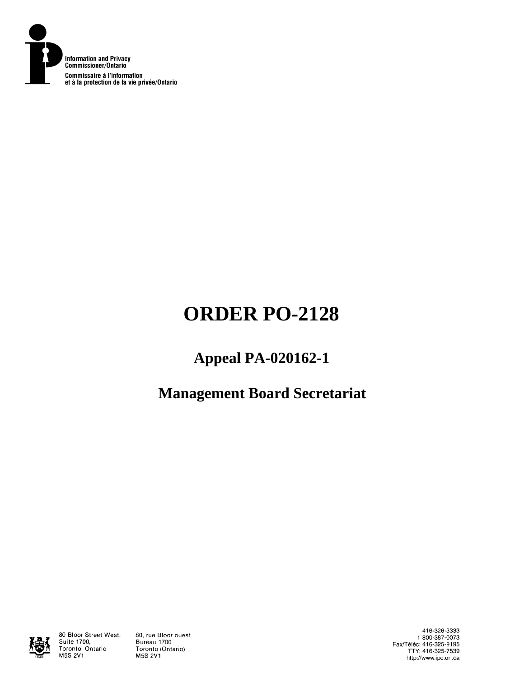

# **ORDER PO-2128**

# **Appeal PA-020162-1**

# **Management Board Secretariat**



80 Bloor Street West, Suite 1700, Toronto, Ontario **M5S 2V1** 

80, rue Bloor ouest Bureau 1700 Toronto (Ontario) **M5S 2V1** 

416-326-3333 1-800-387-0073 Fax/Téléc: 416-325-9195<br>TTY: 416-325-7539 http://www.ipc.on.ca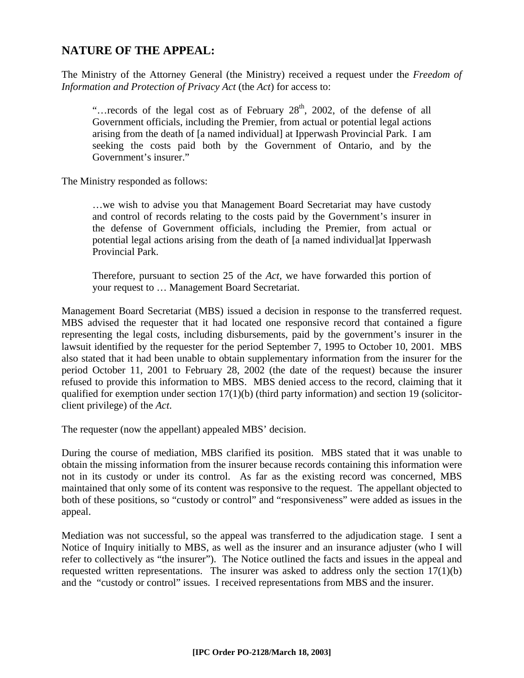# **NATURE OF THE APPEAL:**

The Ministry of the Attorney General (the Ministry) received a request under the *Freedom of Information and Protection of Privacy Act* (the *Act*) for access to:

"... records of the legal cost as of February  $28<sup>th</sup>$ , 2002, of the defense of all Government officials, including the Premier, from actual or potential legal actions arising from the death of [a named individual] at Ipperwash Provincial Park. I am seeking the costs paid both by the Government of Ontario, and by the Government's insurer."

The Ministry responded as follows:

…we wish to advise you that Management Board Secretariat may have custody and control of records relating to the costs paid by the Government's insurer in the defense of Government officials, including the Premier, from actual or potential legal actions arising from the death of [a named individual]at Ipperwash Provincial Park.

Therefore, pursuant to section 25 of the *Act,* we have forwarded this portion of your request to … Management Board Secretariat.

Management Board Secretariat (MBS) issued a decision in response to the transferred request. MBS advised the requester that it had located one responsive record that contained a figure representing the legal costs, including disbursements, paid by the government's insurer in the lawsuit identified by the requester for the period September 7, 1995 to October 10, 2001. MBS also stated that it had been unable to obtain supplementary information from the insurer for the period October 11, 2001 to February 28, 2002 (the date of the request) because the insurer refused to provide this information to MBS. MBS denied access to the record, claiming that it qualified for exemption under section 17(1)(b) (third party information) and section 19 (solicitorclient privilege) of the *Act*.

The requester (now the appellant) appealed MBS' decision.

During the course of mediation, MBS clarified its position. MBS stated that it was unable to obtain the missing information from the insurer because records containing this information were not in its custody or under its control. As far as the existing record was concerned, MBS maintained that only some of its content was responsive to the request. The appellant objected to both of these positions, so "custody or control" and "responsiveness" were added as issues in the appeal.

Mediation was not successful, so the appeal was transferred to the adjudication stage. I sent a Notice of Inquiry initially to MBS, as well as the insurer and an insurance adjuster (who I will refer to collectively as "the insurer"). The Notice outlined the facts and issues in the appeal and requested written representations. The insurer was asked to address only the section  $17(1)(b)$ and the "custody or control" issues. I received representations from MBS and the insurer.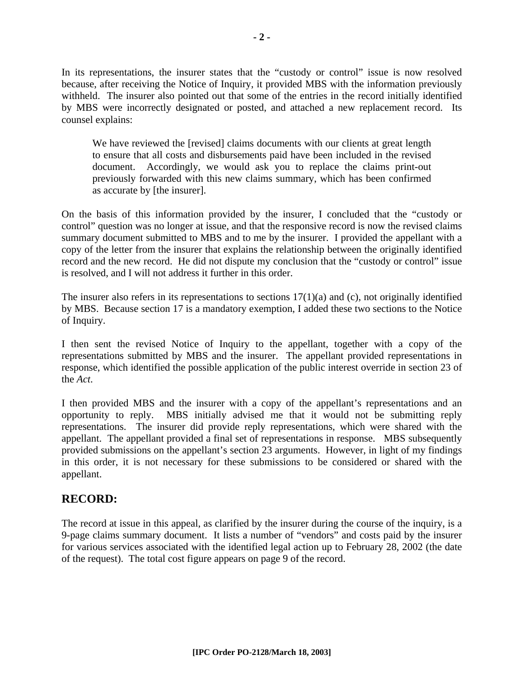In its representations, the insurer states that the "custody or control" issue is now resolved because, after receiving the Notice of Inquiry, it provided MBS with the information previously withheld. The insurer also pointed out that some of the entries in the record initially identified by MBS were incorrectly designated or posted, and attached a new replacement record. Its counsel explains:

We have reviewed the [revised] claims documents with our clients at great length to ensure that all costs and disbursements paid have been included in the revised document. Accordingly, we would ask you to replace the claims print-out previously forwarded with this new claims summary, which has been confirmed as accurate by [the insurer].

On the basis of this information provided by the insurer, I concluded that the "custody or control" question was no longer at issue, and that the responsive record is now the revised claims summary document submitted to MBS and to me by the insurer. I provided the appellant with a copy of the letter from the insurer that explains the relationship between the originally identified record and the new record. He did not dispute my conclusion that the "custody or control" issue is resolved, and I will not address it further in this order.

The insurer also refers in its representations to sections  $17(1)(a)$  and (c), not originally identified by MBS. Because section 17 is a mandatory exemption, I added these two sections to the Notice of Inquiry.

I then sent the revised Notice of Inquiry to the appellant, together with a copy of the representations submitted by MBS and the insurer. The appellant provided representations in response, which identified the possible application of the public interest override in section 23 of the *Act*.

I then provided MBS and the insurer with a copy of the appellant's representations and an opportunity to reply. MBS initially advised me that it would not be submitting reply representations. The insurer did provide reply representations, which were shared with the appellant. The appellant provided a final set of representations in response. MBS subsequently provided submissions on the appellant's section 23 arguments. However, in light of my findings in this order, it is not necessary for these submissions to be considered or shared with the appellant.

## **RECORD:**

The record at issue in this appeal, as clarified by the insurer during the course of the inquiry, is a 9-page claims summary document. It lists a number of "vendors" and costs paid by the insurer for various services associated with the identified legal action up to February 28, 2002 (the date of the request). The total cost figure appears on page 9 of the record.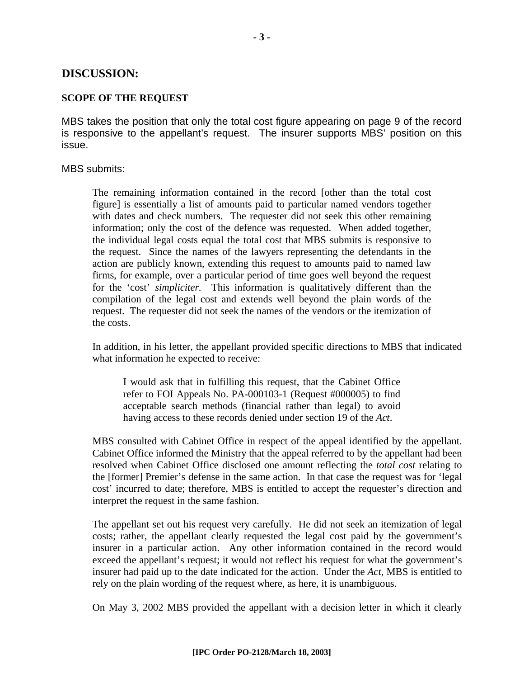### **DISCUSSION:**

#### **SCOPE OF THE REQUEST**

MBS takes the position that only the total cost figure appearing on page 9 of the record is responsive to the appellant's request. The insurer supports MBS' position on this issue.

MBS submits:

The remaining information contained in the record [other than the total cost figure] is essentially a list of amounts paid to particular named vendors together with dates and check numbers. The requester did not seek this other remaining information; only the cost of the defence was requested. When added together, the individual legal costs equal the total cost that MBS submits is responsive to the request. Since the names of the lawyers representing the defendants in the action are publicly known, extending this request to amounts paid to named law firms, for example, over a particular period of time goes well beyond the request for the 'cost' *simpliciter.* This information is qualitatively different than the compilation of the legal cost and extends well beyond the plain words of the request. The requester did not seek the names of the vendors or the itemization of the costs.

In addition, in his letter, the appellant provided specific directions to MBS that indicated what information he expected to receive:

I would ask that in fulfilling this request, that the Cabinet Office refer to FOI Appeals No. PA-000103-1 (Request #000005) to find acceptable search methods (financial rather than legal) to avoid having access to these records denied under section 19 of the *Act*.

MBS consulted with Cabinet Office in respect of the appeal identified by the appellant. Cabinet Office informed the Ministry that the appeal referred to by the appellant had been resolved when Cabinet Office disclosed one amount reflecting the *total cost* relating to the [former] Premier's defense in the same action. In that case the request was for 'legal cost' incurred to date; therefore, MBS is entitled to accept the requester's direction and interpret the request in the same fashion.

The appellant set out his request very carefully. He did not seek an itemization of legal costs; rather, the appellant clearly requested the legal cost paid by the government's insurer in a particular action. Any other information contained in the record would exceed the appellant's request; it would not reflect his request for what the government's insurer had paid up to the date indicated for the action. Under the *Act*, MBS is entitled to rely on the plain wording of the request where, as here, it is unambiguous.

On May 3, 2002 MBS provided the appellant with a decision letter in which it clearly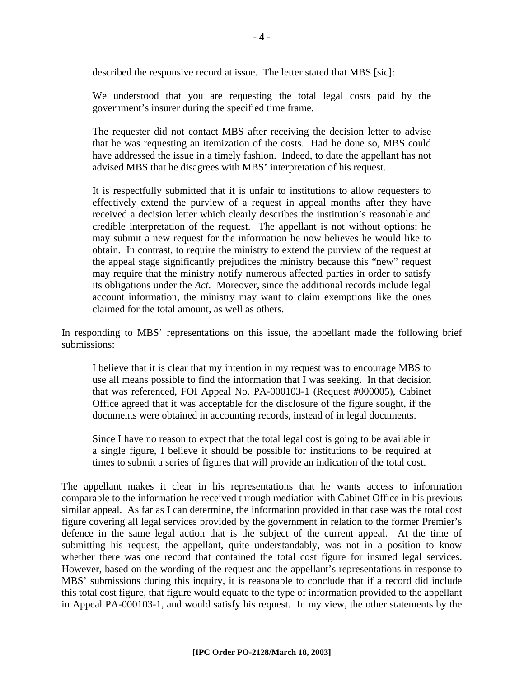described the responsive record at issue. The letter stated that MBS [sic]:

We understood that you are requesting the total legal costs paid by the government's insurer during the specified time frame.

The requester did not contact MBS after receiving the decision letter to advise that he was requesting an itemization of the costs. Had he done so, MBS could have addressed the issue in a timely fashion. Indeed, to date the appellant has not advised MBS that he disagrees with MBS' interpretation of his request.

It is respectfully submitted that it is unfair to institutions to allow requesters to effectively extend the purview of a request in appeal months after they have received a decision letter which clearly describes the institution's reasonable and credible interpretation of the request. The appellant is not without options; he may submit a new request for the information he now believes he would like to obtain. In contrast, to require the ministry to extend the purview of the request at the appeal stage significantly prejudices the ministry because this "new" request may require that the ministry notify numerous affected parties in order to satisfy its obligations under the *Act*. Moreover, since the additional records include legal account information, the ministry may want to claim exemptions like the ones claimed for the total amount, as well as others.

In responding to MBS' representations on this issue, the appellant made the following brief submissions:

I believe that it is clear that my intention in my request was to encourage MBS to use all means possible to find the information that I was seeking. In that decision that was referenced, FOI Appeal No. PA-000103-1 (Request #000005), Cabinet Office agreed that it was acceptable for the disclosure of the figure sought, if the documents were obtained in accounting records, instead of in legal documents.

Since I have no reason to expect that the total legal cost is going to be available in a single figure, I believe it should be possible for institutions to be required at times to submit a series of figures that will provide an indication of the total cost.

The appellant makes it clear in his representations that he wants access to information comparable to the information he received through mediation with Cabinet Office in his previous similar appeal. As far as I can determine, the information provided in that case was the total cost figure covering all legal services provided by the government in relation to the former Premier's defence in the same legal action that is the subject of the current appeal. At the time of submitting his request, the appellant, quite understandably, was not in a position to know whether there was one record that contained the total cost figure for insured legal services. However, based on the wording of the request and the appellant's representations in response to MBS' submissions during this inquiry, it is reasonable to conclude that if a record did include this total cost figure, that figure would equate to the type of information provided to the appellant in Appeal PA-000103-1, and would satisfy his request. In my view, the other statements by the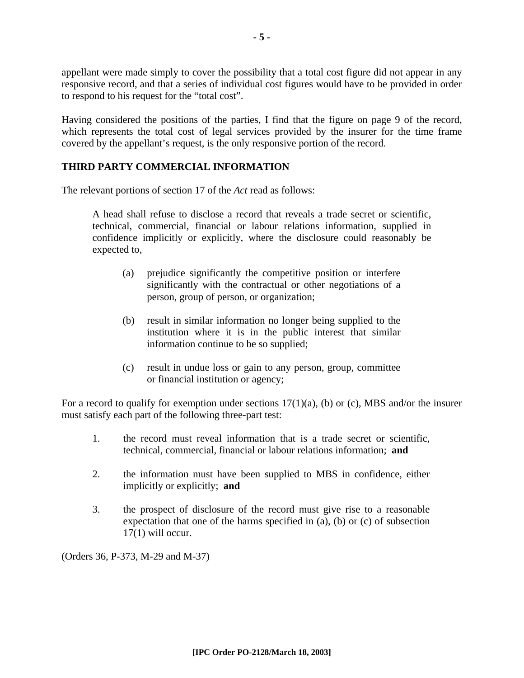appellant were made simply to cover the possibility that a total cost figure did not appear in any responsive record, and that a series of individual cost figures would have to be provided in order to respond to his request for the "total cost".

Having considered the positions of the parties, I find that the figure on page 9 of the record, which represents the total cost of legal services provided by the insurer for the time frame covered by the appellant's request, is the only responsive portion of the record.

#### **THIRD PARTY COMMERCIAL INFORMATION**

The relevant portions of section 17 of the *Act* read as follows:

A head shall refuse to disclose a record that reveals a trade secret or scientific, technical, commercial, financial or labour relations information, supplied in confidence implicitly or explicitly, where the disclosure could reasonably be expected to,

- (a) prejudice significantly the competitive position or interfere significantly with the contractual or other negotiations of a person, group of person, or organization;
- (b) result in similar information no longer being supplied to the institution where it is in the public interest that similar information continue to be so supplied;
- (c) result in undue loss or gain to any person, group, committee or financial institution or agency;

For a record to qualify for exemption under sections  $17(1)(a)$ , (b) or (c), MBS and/or the insurer must satisfy each part of the following three-part test:

- 1. the record must reveal information that is a trade secret or scientific, technical, commercial, financial or labour relations information; **and**
- 2. the information must have been supplied to MBS in confidence, either implicitly or explicitly; **and**
- 3. the prospect of disclosure of the record must give rise to a reasonable expectation that one of the harms specified in (a), (b) or (c) of subsection 17(1) will occur.

(Orders 36, P-373, M-29 and M-37)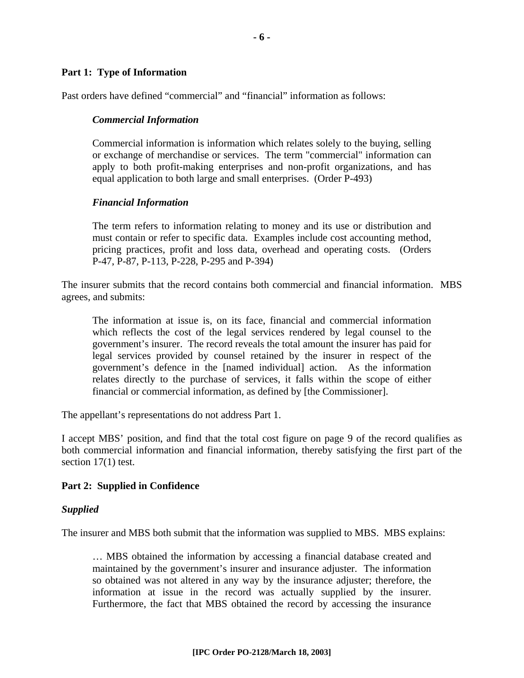#### **Part 1: Type of Information**

Past orders have defined "commercial" and "financial" information as follows:

#### *Commercial Information*

Commercial information is information which relates solely to the buying, selling or exchange of merchandise or services. The term "commercial" information can apply to both profit-making enterprises and non-profit organizations, and has equal application to both large and small enterprises. (Order P-493)

#### *Financial Information*

The term refers to information relating to money and its use or distribution and must contain or refer to specific data. Examples include cost accounting method, pricing practices, profit and loss data, overhead and operating costs. (Orders P-47, P-87, P-113, P-228, P-295 and P-394)

The insurer submits that the record contains both commercial and financial information. MBS agrees, and submits:

The information at issue is, on its face, financial and commercial information which reflects the cost of the legal services rendered by legal counsel to the government's insurer. The record reveals the total amount the insurer has paid for legal services provided by counsel retained by the insurer in respect of the government's defence in the [named individual] action. As the information relates directly to the purchase of services, it falls within the scope of either financial or commercial information, as defined by [the Commissioner].

The appellant's representations do not address Part 1.

I accept MBS' position, and find that the total cost figure on page 9 of the record qualifies as both commercial information and financial information, thereby satisfying the first part of the section 17(1) test.

#### **Part 2: Supplied in Confidence**

#### *Supplied*

The insurer and MBS both submit that the information was supplied to MBS. MBS explains:

… MBS obtained the information by accessing a financial database created and maintained by the government's insurer and insurance adjuster. The information so obtained was not altered in any way by the insurance adjuster; therefore, the information at issue in the record was actually supplied by the insurer. Furthermore, the fact that MBS obtained the record by accessing the insurance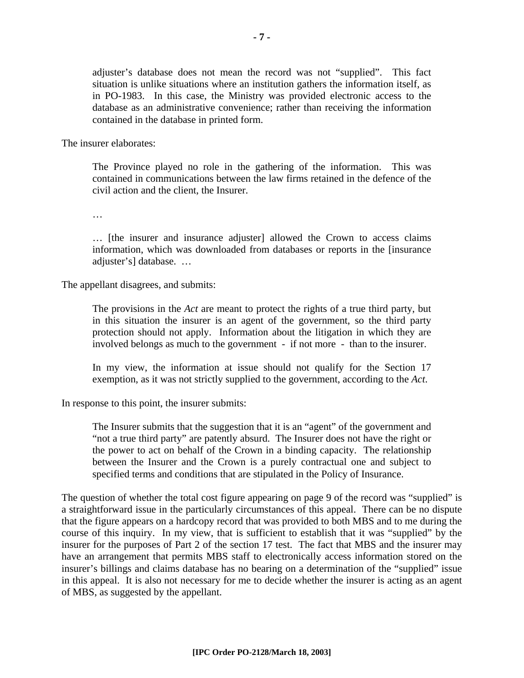adjuster's database does not mean the record was not "supplied". This fact situation is unlike situations where an institution gathers the information itself, as in PO-1983. In this case, the Ministry was provided electronic access to the database as an administrative convenience; rather than receiving the information contained in the database in printed form.

The insurer elaborates:

The Province played no role in the gathering of the information. This was contained in communications between the law firms retained in the defence of the civil action and the client, the Insurer.

…

… [the insurer and insurance adjuster] allowed the Crown to access claims information, which was downloaded from databases or reports in the [insurance adjuster's] database. …

The appellant disagrees, and submits:

The provisions in the *Act* are meant to protect the rights of a true third party, but in this situation the insurer is an agent of the government, so the third party protection should not apply. Information about the litigation in which they are involved belongs as much to the government - if not more - than to the insurer.

In my view, the information at issue should not qualify for the Section 17 exemption, as it was not strictly supplied to the government, according to the *Act*.

In response to this point, the insurer submits:

The Insurer submits that the suggestion that it is an "agent" of the government and "not a true third party" are patently absurd. The Insurer does not have the right or the power to act on behalf of the Crown in a binding capacity. The relationship between the Insurer and the Crown is a purely contractual one and subject to specified terms and conditions that are stipulated in the Policy of Insurance.

The question of whether the total cost figure appearing on page 9 of the record was "supplied" is a straightforward issue in the particularly circumstances of this appeal. There can be no dispute that the figure appears on a hardcopy record that was provided to both MBS and to me during the course of this inquiry. In my view, that is sufficient to establish that it was "supplied" by the insurer for the purposes of Part 2 of the section 17 test. The fact that MBS and the insurer may have an arrangement that permits MBS staff to electronically access information stored on the insurer's billings and claims database has no bearing on a determination of the "supplied" issue in this appeal. It is also not necessary for me to decide whether the insurer is acting as an agent of MBS, as suggested by the appellant.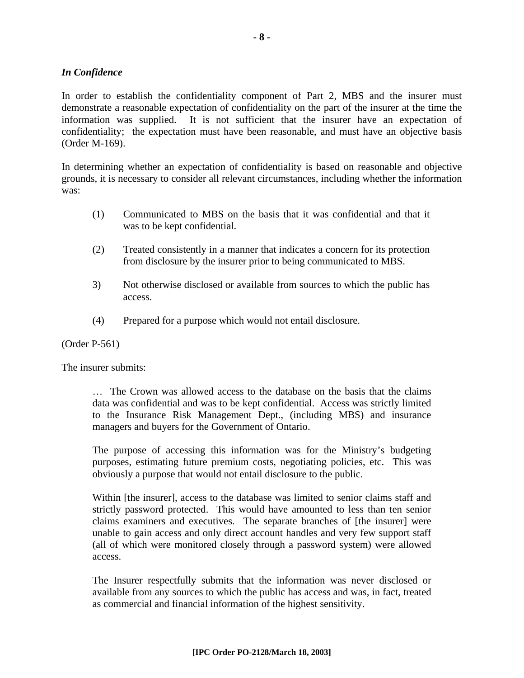#### *In Confidence*

In order to establish the confidentiality component of Part 2, MBS and the insurer must demonstrate a reasonable expectation of confidentiality on the part of the insurer at the time the information was supplied. It is not sufficient that the insurer have an expectation of confidentiality; the expectation must have been reasonable, and must have an objective basis (Order M-169).

In determining whether an expectation of confidentiality is based on reasonable and objective grounds, it is necessary to consider all relevant circumstances, including whether the information was:

- (1) Communicated to MBS on the basis that it was confidential and that it was to be kept confidential.
- (2) Treated consistently in a manner that indicates a concern for its protection from disclosure by the insurer prior to being communicated to MBS.
- 3) Not otherwise disclosed or available from sources to which the public has access.
- (4) Prepared for a purpose which would not entail disclosure.

#### (Order P-561)

The insurer submits:

… The Crown was allowed access to the database on the basis that the claims data was confidential and was to be kept confidential. Access was strictly limited to the Insurance Risk Management Dept., (including MBS) and insurance managers and buyers for the Government of Ontario.

The purpose of accessing this information was for the Ministry's budgeting purposes, estimating future premium costs, negotiating policies, etc. This was obviously a purpose that would not entail disclosure to the public.

Within [the insurer], access to the database was limited to senior claims staff and strictly password protected. This would have amounted to less than ten senior claims examiners and executives. The separate branches of [the insurer] were unable to gain access and only direct account handles and very few support staff (all of which were monitored closely through a password system) were allowed access.

The Insurer respectfully submits that the information was never disclosed or available from any sources to which the public has access and was, in fact, treated as commercial and financial information of the highest sensitivity.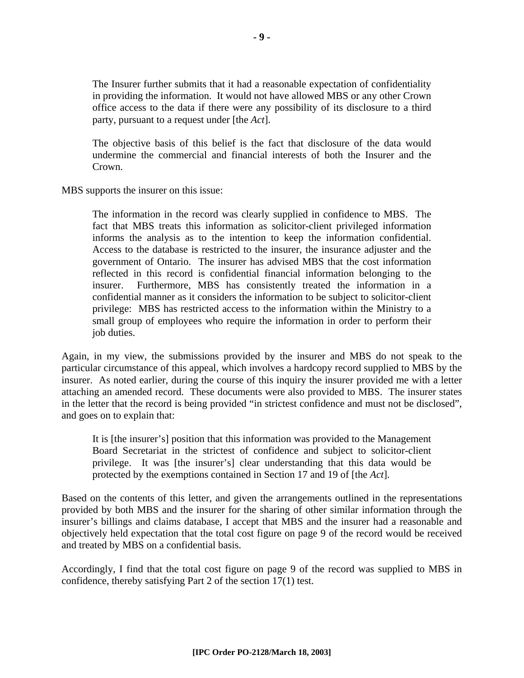The Insurer further submits that it had a reasonable expectation of confidentiality in providing the information. It would not have allowed MBS or any other Crown office access to the data if there were any possibility of its disclosure to a third party, pursuant to a request under [the *Act*].

The objective basis of this belief is the fact that disclosure of the data would undermine the commercial and financial interests of both the Insurer and the Crown.

MBS supports the insurer on this issue:

The information in the record was clearly supplied in confidence to MBS. The fact that MBS treats this information as solicitor-client privileged information informs the analysis as to the intention to keep the information confidential. Access to the database is restricted to the insurer, the insurance adjuster and the government of Ontario. The insurer has advised MBS that the cost information reflected in this record is confidential financial information belonging to the insurer. Furthermore, MBS has consistently treated the information in a confidential manner as it considers the information to be subject to solicitor-client privilege: MBS has restricted access to the information within the Ministry to a small group of employees who require the information in order to perform their job duties.

Again, in my view, the submissions provided by the insurer and MBS do not speak to the particular circumstance of this appeal, which involves a hardcopy record supplied to MBS by the insurer. As noted earlier, during the course of this inquiry the insurer provided me with a letter attaching an amended record. These documents were also provided to MBS. The insurer states in the letter that the record is being provided "in strictest confidence and must not be disclosed", and goes on to explain that:

It is [the insurer's] position that this information was provided to the Management Board Secretariat in the strictest of confidence and subject to solicitor-client privilege. It was [the insurer's] clear understanding that this data would be protected by the exemptions contained in Section 17 and 19 of [the *Act*].

Based on the contents of this letter, and given the arrangements outlined in the representations provided by both MBS and the insurer for the sharing of other similar information through the insurer's billings and claims database, I accept that MBS and the insurer had a reasonable and objectively held expectation that the total cost figure on page 9 of the record would be received and treated by MBS on a confidential basis.

Accordingly, I find that the total cost figure on page 9 of the record was supplied to MBS in confidence, thereby satisfying Part 2 of the section 17(1) test.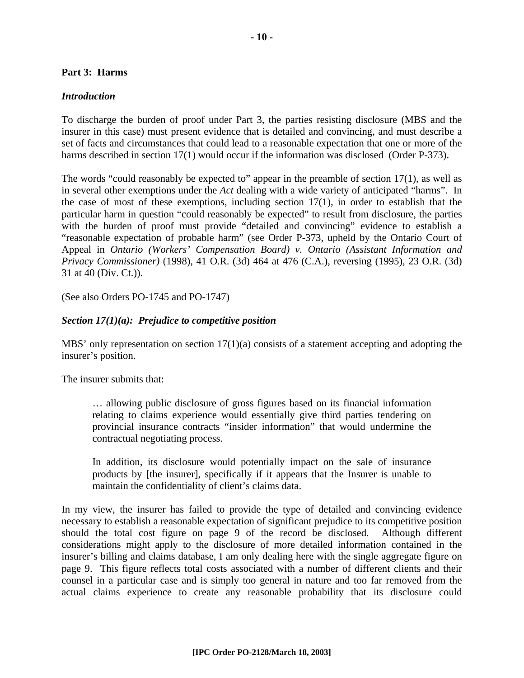#### **Part 3: Harms**

#### *Introduction*

To discharge the burden of proof under Part 3, the parties resisting disclosure (MBS and the insurer in this case) must present evidence that is detailed and convincing, and must describe a set of facts and circumstances that could lead to a reasonable expectation that one or more of the harms described in section 17(1) would occur if the information was disclosed (Order P-373).

The words "could reasonably be expected to" appear in the preamble of section 17(1), as well as in several other exemptions under the *Act* dealing with a wide variety of anticipated "harms". In the case of most of these exemptions, including section 17(1), in order to establish that the particular harm in question "could reasonably be expected" to result from disclosure, the parties with the burden of proof must provide "detailed and convincing" evidence to establish a "reasonable expectation of probable harm" (see Order P-373, upheld by the Ontario Court of Appeal in *Ontario (Workers' Compensation Board) v. Ontario (Assistant Information and Privacy Commissioner)* (1998), 41 O.R. (3d) 464 at 476 (C.A.), reversing (1995), 23 O.R. (3d) 31 at 40 (Div. Ct.)).

(See also Orders PO-1745 and PO-1747)

#### *Section 17(1)(a): Prejudice to competitive position*

MBS' only representation on section  $17(1)(a)$  consists of a statement accepting and adopting the insurer's position.

The insurer submits that:

… allowing public disclosure of gross figures based on its financial information relating to claims experience would essentially give third parties tendering on provincial insurance contracts "insider information" that would undermine the contractual negotiating process.

In addition, its disclosure would potentially impact on the sale of insurance products by [the insurer], specifically if it appears that the Insurer is unable to maintain the confidentiality of client's claims data.

In my view, the insurer has failed to provide the type of detailed and convincing evidence necessary to establish a reasonable expectation of significant prejudice to its competitive position should the total cost figure on page 9 of the record be disclosed. Although different considerations might apply to the disclosure of more detailed information contained in the insurer's billing and claims database, I am only dealing here with the single aggregate figure on page 9. This figure reflects total costs associated with a number of different clients and their counsel in a particular case and is simply too general in nature and too far removed from the actual claims experience to create any reasonable probability that its disclosure could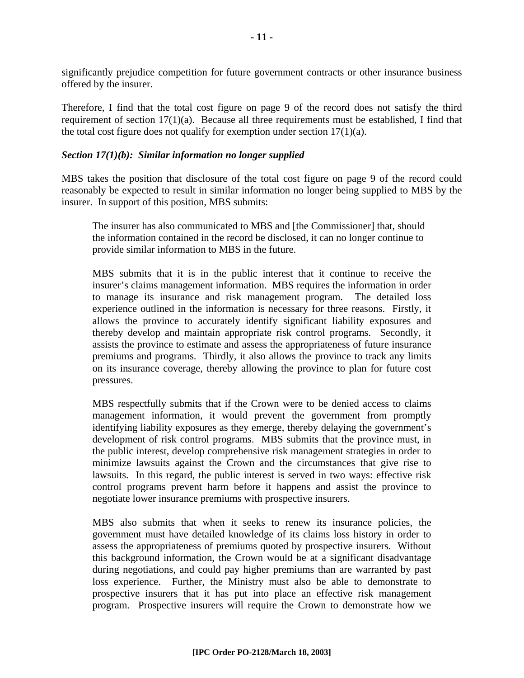significantly prejudice competition for future government contracts or other insurance business offered by the insurer.

Therefore, I find that the total cost figure on page 9 of the record does not satisfy the third requirement of section 17(1)(a). Because all three requirements must be established, I find that the total cost figure does not qualify for exemption under section  $17(1)(a)$ .

#### *Section 17(1)(b): Similar information no longer supplied*

MBS takes the position that disclosure of the total cost figure on page 9 of the record could reasonably be expected to result in similar information no longer being supplied to MBS by the insurer. In support of this position, MBS submits:

The insurer has also communicated to MBS and [the Commissioner] that, should the information contained in the record be disclosed, it can no longer continue to provide similar information to MBS in the future.

MBS submits that it is in the public interest that it continue to receive the insurer's claims management information. MBS requires the information in order to manage its insurance and risk management program. The detailed loss experience outlined in the information is necessary for three reasons. Firstly, it allows the province to accurately identify significant liability exposures and thereby develop and maintain appropriate risk control programs. Secondly, it assists the province to estimate and assess the appropriateness of future insurance premiums and programs. Thirdly, it also allows the province to track any limits on its insurance coverage, thereby allowing the province to plan for future cost pressures.

MBS respectfully submits that if the Crown were to be denied access to claims management information, it would prevent the government from promptly identifying liability exposures as they emerge, thereby delaying the government's development of risk control programs. MBS submits that the province must, in the public interest, develop comprehensive risk management strategies in order to minimize lawsuits against the Crown and the circumstances that give rise to lawsuits. In this regard, the public interest is served in two ways: effective risk control programs prevent harm before it happens and assist the province to negotiate lower insurance premiums with prospective insurers.

MBS also submits that when it seeks to renew its insurance policies, the government must have detailed knowledge of its claims loss history in order to assess the appropriateness of premiums quoted by prospective insurers. Without this background information, the Crown would be at a significant disadvantage during negotiations, and could pay higher premiums than are warranted by past loss experience. Further, the Ministry must also be able to demonstrate to prospective insurers that it has put into place an effective risk management program. Prospective insurers will require the Crown to demonstrate how we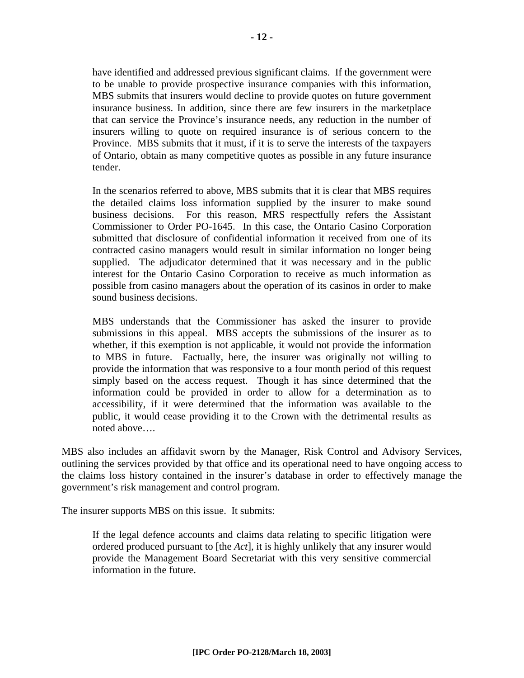have identified and addressed previous significant claims. If the government were to be unable to provide prospective insurance companies with this information, MBS submits that insurers would decline to provide quotes on future government insurance business. In addition, since there are few insurers in the marketplace that can service the Province's insurance needs, any reduction in the number of insurers willing to quote on required insurance is of serious concern to the Province. MBS submits that it must, if it is to serve the interests of the taxpayers of Ontario, obtain as many competitive quotes as possible in any future insurance tender.

In the scenarios referred to above, MBS submits that it is clear that MBS requires the detailed claims loss information supplied by the insurer to make sound business decisions. For this reason, MRS respectfully refers the Assistant Commissioner to Order PO-1645. In this case, the Ontario Casino Corporation submitted that disclosure of confidential information it received from one of its contracted casino managers would result in similar information no longer being supplied. The adjudicator determined that it was necessary and in the public interest for the Ontario Casino Corporation to receive as much information as possible from casino managers about the operation of its casinos in order to make sound business decisions.

MBS understands that the Commissioner has asked the insurer to provide submissions in this appeal. MBS accepts the submissions of the insurer as to whether, if this exemption is not applicable, it would not provide the information to MBS in future. Factually, here, the insurer was originally not willing to provide the information that was responsive to a four month period of this request simply based on the access request. Though it has since determined that the information could be provided in order to allow for a determination as to accessibility, if it were determined that the information was available to the public, it would cease providing it to the Crown with the detrimental results as noted above….

MBS also includes an affidavit sworn by the Manager, Risk Control and Advisory Services, outlining the services provided by that office and its operational need to have ongoing access to the claims loss history contained in the insurer's database in order to effectively manage the government's risk management and control program.

The insurer supports MBS on this issue. It submits:

If the legal defence accounts and claims data relating to specific litigation were ordered produced pursuant to [the *Act*], it is highly unlikely that any insurer would provide the Management Board Secretariat with this very sensitive commercial information in the future.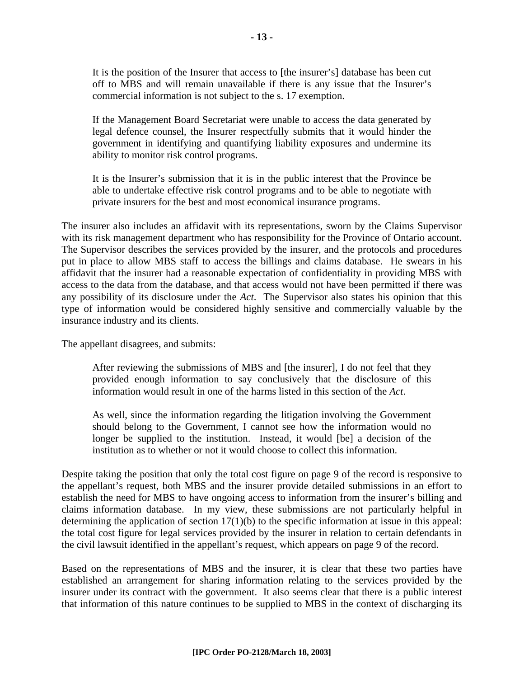It is the position of the Insurer that access to [the insurer's] database has been cut off to MBS and will remain unavailable if there is any issue that the Insurer's commercial information is not subject to the s. 17 exemption.

If the Management Board Secretariat were unable to access the data generated by legal defence counsel, the Insurer respectfully submits that it would hinder the government in identifying and quantifying liability exposures and undermine its ability to monitor risk control programs.

It is the Insurer's submission that it is in the public interest that the Province be able to undertake effective risk control programs and to be able to negotiate with private insurers for the best and most economical insurance programs.

The insurer also includes an affidavit with its representations, sworn by the Claims Supervisor with its risk management department who has responsibility for the Province of Ontario account. The Supervisor describes the services provided by the insurer, and the protocols and procedures put in place to allow MBS staff to access the billings and claims database. He swears in his affidavit that the insurer had a reasonable expectation of confidentiality in providing MBS with access to the data from the database, and that access would not have been permitted if there was any possibility of its disclosure under the *Act*. The Supervisor also states his opinion that this type of information would be considered highly sensitive and commercially valuable by the insurance industry and its clients.

The appellant disagrees, and submits:

After reviewing the submissions of MBS and [the insurer], I do not feel that they provided enough information to say conclusively that the disclosure of this information would result in one of the harms listed in this section of the *Act*.

As well, since the information regarding the litigation involving the Government should belong to the Government, I cannot see how the information would no longer be supplied to the institution. Instead, it would [be] a decision of the institution as to whether or not it would choose to collect this information.

Despite taking the position that only the total cost figure on page 9 of the record is responsive to the appellant's request, both MBS and the insurer provide detailed submissions in an effort to establish the need for MBS to have ongoing access to information from the insurer's billing and claims information database. In my view, these submissions are not particularly helpful in determining the application of section 17(1)(b) to the specific information at issue in this appeal: the total cost figure for legal services provided by the insurer in relation to certain defendants in the civil lawsuit identified in the appellant's request, which appears on page 9 of the record.

Based on the representations of MBS and the insurer, it is clear that these two parties have established an arrangement for sharing information relating to the services provided by the insurer under its contract with the government. It also seems clear that there is a public interest that information of this nature continues to be supplied to MBS in the context of discharging its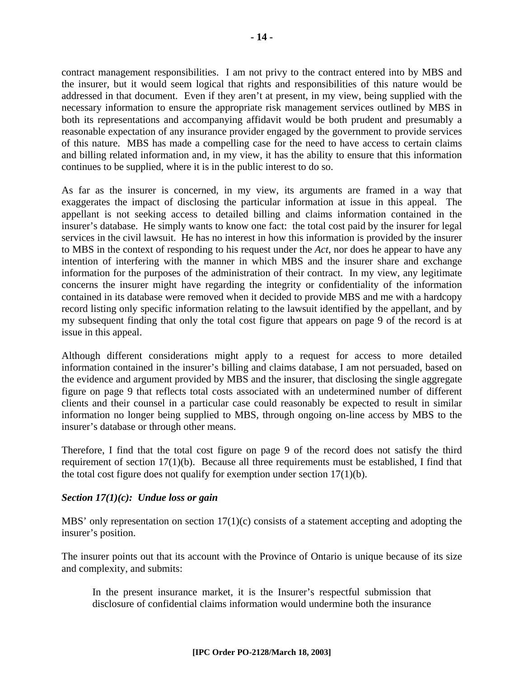contract management responsibilities. I am not privy to the contract entered into by MBS and the insurer, but it would seem logical that rights and responsibilities of this nature would be addressed in that document. Even if they aren't at present, in my view, being supplied with the necessary information to ensure the appropriate risk management services outlined by MBS in both its representations and accompanying affidavit would be both prudent and presumably a reasonable expectation of any insurance provider engaged by the government to provide services of this nature. MBS has made a compelling case for the need to have access to certain claims and billing related information and, in my view, it has the ability to ensure that this information continues to be supplied, where it is in the public interest to do so.

As far as the insurer is concerned, in my view, its arguments are framed in a way that exaggerates the impact of disclosing the particular information at issue in this appeal. The appellant is not seeking access to detailed billing and claims information contained in the insurer's database. He simply wants to know one fact: the total cost paid by the insurer for legal services in the civil lawsuit. He has no interest in how this information is provided by the insurer to MBS in the context of responding to his request under the *Act*, nor does he appear to have any intention of interfering with the manner in which MBS and the insurer share and exchange information for the purposes of the administration of their contract. In my view, any legitimate concerns the insurer might have regarding the integrity or confidentiality of the information contained in its database were removed when it decided to provide MBS and me with a hardcopy record listing only specific information relating to the lawsuit identified by the appellant, and by my subsequent finding that only the total cost figure that appears on page 9 of the record is at issue in this appeal.

Although different considerations might apply to a request for access to more detailed information contained in the insurer's billing and claims database, I am not persuaded, based on the evidence and argument provided by MBS and the insurer, that disclosing the single aggregate figure on page 9 that reflects total costs associated with an undetermined number of different clients and their counsel in a particular case could reasonably be expected to result in similar information no longer being supplied to MBS, through ongoing on-line access by MBS to the insurer's database or through other means.

Therefore, I find that the total cost figure on page 9 of the record does not satisfy the third requirement of section 17(1)(b). Because all three requirements must be established, I find that the total cost figure does not qualify for exemption under section 17(1)(b).

#### *Section 17(1)(c): Undue loss or gain*

MBS' only representation on section 17(1)(c) consists of a statement accepting and adopting the insurer's position.

The insurer points out that its account with the Province of Ontario is unique because of its size and complexity, and submits:

In the present insurance market, it is the Insurer's respectful submission that disclosure of confidential claims information would undermine both the insurance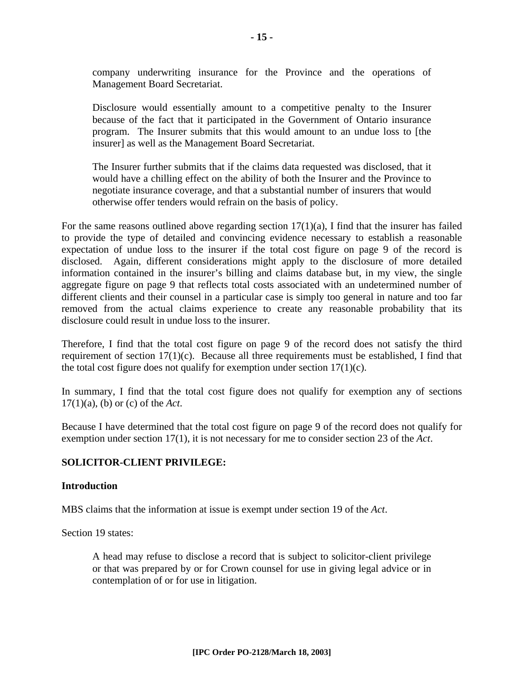company underwriting insurance for the Province and the operations of Management Board Secretariat.

Disclosure would essentially amount to a competitive penalty to the Insurer because of the fact that it participated in the Government of Ontario insurance program. The Insurer submits that this would amount to an undue loss to [the insurer] as well as the Management Board Secretariat.

The Insurer further submits that if the claims data requested was disclosed, that it would have a chilling effect on the ability of both the Insurer and the Province to negotiate insurance coverage, and that a substantial number of insurers that would otherwise offer tenders would refrain on the basis of policy.

For the same reasons outlined above regarding section  $17(1)(a)$ , I find that the insurer has failed to provide the type of detailed and convincing evidence necessary to establish a reasonable expectation of undue loss to the insurer if the total cost figure on page 9 of the record is disclosed. Again, different considerations might apply to the disclosure of more detailed information contained in the insurer's billing and claims database but, in my view, the single aggregate figure on page 9 that reflects total costs associated with an undetermined number of different clients and their counsel in a particular case is simply too general in nature and too far removed from the actual claims experience to create any reasonable probability that its disclosure could result in undue loss to the insurer.

Therefore, I find that the total cost figure on page 9 of the record does not satisfy the third requirement of section 17(1)(c). Because all three requirements must be established, I find that the total cost figure does not qualify for exemption under section  $17(1)(c)$ .

In summary, I find that the total cost figure does not qualify for exemption any of sections 17(1)(a), (b) or (c) of the *Act*.

Because I have determined that the total cost figure on page 9 of the record does not qualify for exemption under section 17(1), it is not necessary for me to consider section 23 of the *Act*.

#### **SOLICITOR-CLIENT PRIVILEGE:**

#### **Introduction**

MBS claims that the information at issue is exempt under section 19 of the *Act*.

Section 19 states:

A head may refuse to disclose a record that is subject to solicitor-client privilege or that was prepared by or for Crown counsel for use in giving legal advice or in contemplation of or for use in litigation.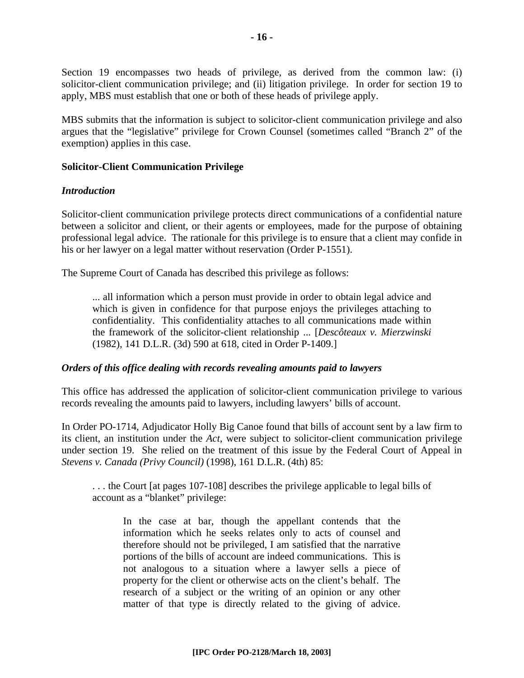Section 19 encompasses two heads of privilege, as derived from the common law: (i) solicitor-client communication privilege; and (ii) litigation privilege. In order for section 19 to apply, MBS must establish that one or both of these heads of privilege apply.

MBS submits that the information is subject to solicitor-client communication privilege and also argues that the "legislative" privilege for Crown Counsel (sometimes called "Branch 2" of the exemption) applies in this case.

#### **Solicitor-Client Communication Privilege**

#### *Introduction*

Solicitor-client communication privilege protects direct communications of a confidential nature between a solicitor and client, or their agents or employees, made for the purpose of obtaining professional legal advice. The rationale for this privilege is to ensure that a client may confide in his or her lawyer on a legal matter without reservation (Order P-1551).

The Supreme Court of Canada has described this privilege as follows:

... all information which a person must provide in order to obtain legal advice and which is given in confidence for that purpose enjoys the privileges attaching to confidentiality. This confidentiality attaches to all communications made within the framework of the solicitor-client relationship ... [*Descôteaux v. Mierzwinski* (1982), 141 D.L.R. (3d) 590 at 618, cited in Order P-1409.]

#### *Orders of this office dealing with records revealing amounts paid to lawyers*

This office has addressed the application of solicitor-client communication privilege to various records revealing the amounts paid to lawyers, including lawyers' bills of account.

In Order PO-1714, Adjudicator Holly Big Canoe found that bills of account sent by a law firm to its client, an institution under the *Act*, were subject to solicitor-client communication privilege under section 19. She relied on the treatment of this issue by the Federal Court of Appeal in *Stevens v. Canada (Privy Council)* (1998), 161 D.L.R. (4th) 85:

. . . the Court [at pages 107-108] describes the privilege applicable to legal bills of account as a "blanket" privilege:

In the case at bar, though the appellant contends that the information which he seeks relates only to acts of counsel and therefore should not be privileged, I am satisfied that the narrative portions of the bills of account are indeed communications. This is not analogous to a situation where a lawyer sells a piece of property for the client or otherwise acts on the client's behalf. The research of a subject or the writing of an opinion or any other matter of that type is directly related to the giving of advice.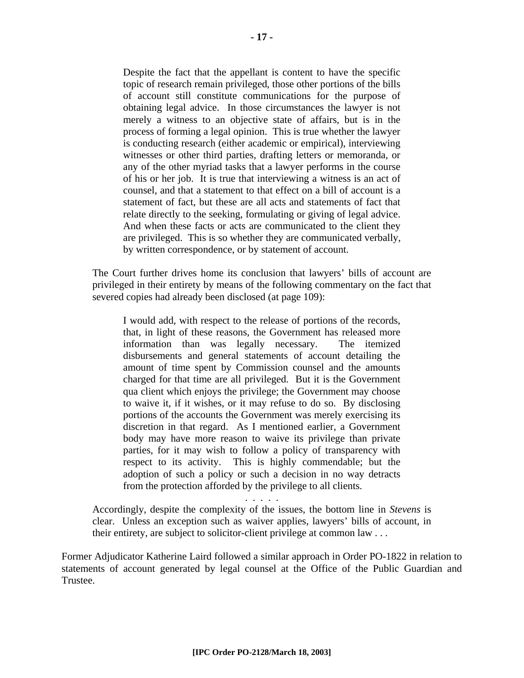Despite the fact that the appellant is content to have the specific topic of research remain privileged, those other portions of the bills of account still constitute communications for the purpose of obtaining legal advice. In those circumstances the lawyer is not merely a witness to an objective state of affairs, but is in the process of forming a legal opinion. This is true whether the lawyer is conducting research (either academic or empirical), interviewing witnesses or other third parties, drafting letters or memoranda, or any of the other myriad tasks that a lawyer performs in the course of his or her job. It is true that interviewing a witness is an act of counsel, and that a statement to that effect on a bill of account is a statement of fact, but these are all acts and statements of fact that relate directly to the seeking, formulating or giving of legal advice. And when these facts or acts are communicated to the client they are privileged. This is so whether they are communicated verbally, by written correspondence, or by statement of account.

The Court further drives home its conclusion that lawyers' bills of account are privileged in their entirety by means of the following commentary on the fact that severed copies had already been disclosed (at page 109):

I would add, with respect to the release of portions of the records, that, in light of these reasons, the Government has released more information than was legally necessary. The itemized disbursements and general statements of account detailing the amount of time spent by Commission counsel and the amounts charged for that time are all privileged. But it is the Government qua client which enjoys the privilege; the Government may choose to waive it, if it wishes, or it may refuse to do so. By disclosing portions of the accounts the Government was merely exercising its discretion in that regard. As I mentioned earlier, a Government body may have more reason to waive its privilege than private parties, for it may wish to follow a policy of transparency with respect to its activity. This is highly commendable; but the adoption of such a policy or such a decision in no way detracts from the protection afforded by the privilege to all clients.

Accordingly, despite the complexity of the issues, the bottom line in *Stevens* is clear. Unless an exception such as waiver applies, lawyers' bills of account, in their entirety, are subject to solicitor-client privilege at common law . . .

. . . . .

Former Adjudicator Katherine Laird followed a similar approach in Order PO-1822 in relation to statements of account generated by legal counsel at the Office of the Public Guardian and Trustee.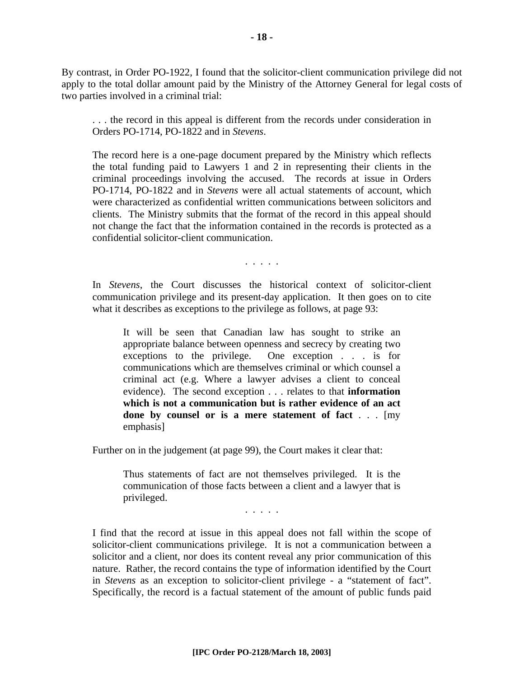By contrast, in Order PO-1922, I found that the solicitor-client communication privilege did not apply to the total dollar amount paid by the Ministry of the Attorney General for legal costs of two parties involved in a criminal trial:

. . . the record in this appeal is different from the records under consideration in Orders PO-1714, PO-1822 and in *Stevens*.

The record here is a one-page document prepared by the Ministry which reflects the total funding paid to Lawyers 1 and 2 in representing their clients in the criminal proceedings involving the accused. The records at issue in Orders PO-1714, PO-1822 and in *Stevens* were all actual statements of account, which were characterized as confidential written communications between solicitors and clients. The Ministry submits that the format of the record in this appeal should not change the fact that the information contained in the records is protected as a confidential solicitor-client communication.

. . . . .

In *Stevens*, the Court discusses the historical context of solicitor-client communication privilege and its present-day application. It then goes on to cite what it describes as exceptions to the privilege as follows, at page 93:

It will be seen that Canadian law has sought to strike an appropriate balance between openness and secrecy by creating two exceptions to the privilege. One exception . . . is for communications which are themselves criminal or which counsel a criminal act (e.g. Where a lawyer advises a client to conceal evidence). The second exception . . . relates to that **information which is not a communication but is rather evidence of an act done by counsel or is a mere statement of fact** . . . [my emphasis]

Further on in the judgement (at page 99), the Court makes it clear that:

Thus statements of fact are not themselves privileged. It is the communication of those facts between a client and a lawyer that is privileged.

. . . . .

I find that the record at issue in this appeal does not fall within the scope of solicitor-client communications privilege. It is not a communication between a solicitor and a client, nor does its content reveal any prior communication of this nature. Rather, the record contains the type of information identified by the Court in *Stevens* as an exception to solicitor-client privilege - a "statement of fact". Specifically, the record is a factual statement of the amount of public funds paid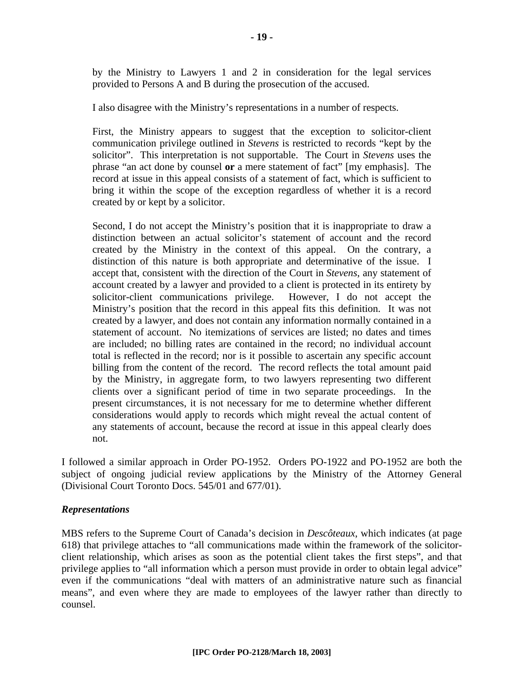by the Ministry to Lawyers 1 and 2 in consideration for the legal services provided to Persons A and B during the prosecution of the accused.

I also disagree with the Ministry's representations in a number of respects.

First, the Ministry appears to suggest that the exception to solicitor-client communication privilege outlined in *Stevens* is restricted to records "kept by the solicitor". This interpretation is not supportable. The Court in *Stevens* uses the phrase "an act done by counsel **or** a mere statement of fact" [my emphasis]. The record at issue in this appeal consists of a statement of fact, which is sufficient to bring it within the scope of the exception regardless of whether it is a record created by or kept by a solicitor.

Second, I do not accept the Ministry's position that it is inappropriate to draw a distinction between an actual solicitor's statement of account and the record created by the Ministry in the context of this appeal. On the contrary, a distinction of this nature is both appropriate and determinative of the issue. I accept that, consistent with the direction of the Court in *Stevens*, any statement of account created by a lawyer and provided to a client is protected in its entirety by solicitor-client communications privilege. However, I do not accept the Ministry's position that the record in this appeal fits this definition. It was not created by a lawyer, and does not contain any information normally contained in a statement of account. No itemizations of services are listed; no dates and times are included; no billing rates are contained in the record; no individual account total is reflected in the record; nor is it possible to ascertain any specific account billing from the content of the record. The record reflects the total amount paid by the Ministry, in aggregate form, to two lawyers representing two different clients over a significant period of time in two separate proceedings. In the present circumstances, it is not necessary for me to determine whether different considerations would apply to records which might reveal the actual content of any statements of account, because the record at issue in this appeal clearly does not.

I followed a similar approach in Order PO-1952. Orders PO-1922 and PO-1952 are both the subject of ongoing judicial review applications by the Ministry of the Attorney General (Divisional Court Toronto Docs. 545/01 and 677/01).

#### *Representations*

MBS refers to the Supreme Court of Canada's decision in *Descôteaux*, which indicates (at page 618) that privilege attaches to "all communications made within the framework of the solicitorclient relationship, which arises as soon as the potential client takes the first steps", and that privilege applies to "all information which a person must provide in order to obtain legal advice" even if the communications "deal with matters of an administrative nature such as financial means", and even where they are made to employees of the lawyer rather than directly to counsel.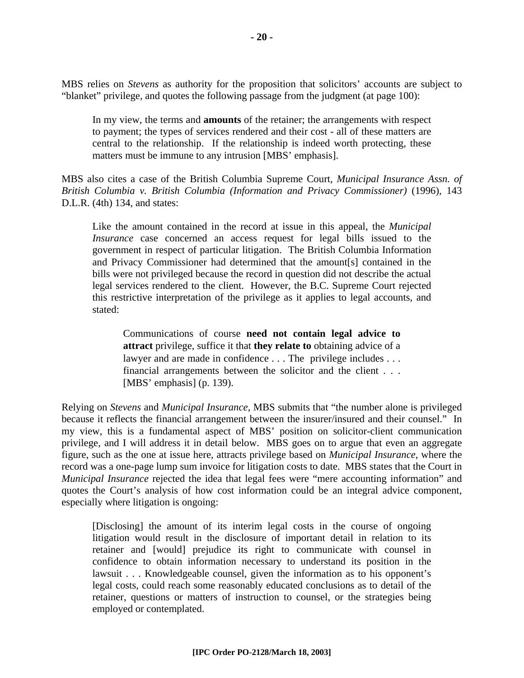MBS relies on *Stevens* as authority for the proposition that solicitors' accounts are subject to "blanket" privilege, and quotes the following passage from the judgment (at page 100):

In my view, the terms and **amounts** of the retainer; the arrangements with respect to payment; the types of services rendered and their cost - all of these matters are central to the relationship. If the relationship is indeed worth protecting, these matters must be immune to any intrusion [MBS' emphasis].

MBS also cites a case of the British Columbia Supreme Court, *Municipal Insurance Assn. of British Columbia v. British Columbia (Information and Privacy Commissioner)* (1996), 143 D.L.R. (4th) 134, and states:

Like the amount contained in the record at issue in this appeal, the *Municipal Insurance* case concerned an access request for legal bills issued to the government in respect of particular litigation. The British Columbia Information and Privacy Commissioner had determined that the amount[s] contained in the bills were not privileged because the record in question did not describe the actual legal services rendered to the client. However, the B.C. Supreme Court rejected this restrictive interpretation of the privilege as it applies to legal accounts, and stated:

Communications of course **need not contain legal advice to attract** privilege, suffice it that **they relate to** obtaining advice of a lawyer and are made in confidence . . . The privilege includes . . . financial arrangements between the solicitor and the client . . . [MBS' emphasis] (p. 139).

Relying on *Stevens* and *Municipal Insurance*, MBS submits that "the number alone is privileged because it reflects the financial arrangement between the insurer/insured and their counsel." In my view, this is a fundamental aspect of MBS' position on solicitor-client communication privilege, and I will address it in detail below. MBS goes on to argue that even an aggregate figure, such as the one at issue here, attracts privilege based on *Municipal Insurance*, where the record was a one-page lump sum invoice for litigation costs to date. MBS states that the Court in *Municipal Insurance* rejected the idea that legal fees were "mere accounting information" and quotes the Court's analysis of how cost information could be an integral advice component, especially where litigation is ongoing:

[Disclosing] the amount of its interim legal costs in the course of ongoing litigation would result in the disclosure of important detail in relation to its retainer and [would] prejudice its right to communicate with counsel in confidence to obtain information necessary to understand its position in the lawsuit . . . Knowledgeable counsel, given the information as to his opponent's legal costs, could reach some reasonably educated conclusions as to detail of the retainer, questions or matters of instruction to counsel, or the strategies being employed or contemplated.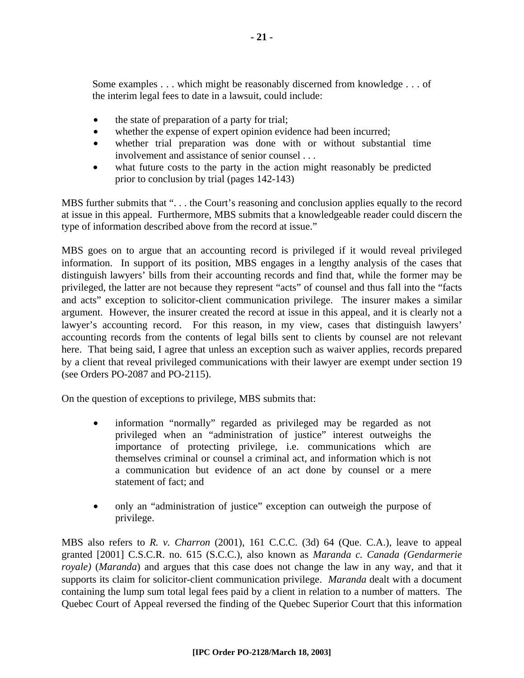Some examples . . . which might be reasonably discerned from knowledge . . . of the interim legal fees to date in a lawsuit, could include:

- the state of preparation of a party for trial;
- whether the expense of expert opinion evidence had been incurred;
- whether trial preparation was done with or without substantial time involvement and assistance of senior counsel . . .
- what future costs to the party in the action might reasonably be predicted prior to conclusion by trial (pages 142-143)

MBS further submits that "... the Court's reasoning and conclusion applies equally to the record at issue in this appeal. Furthermore, MBS submits that a knowledgeable reader could discern the type of information described above from the record at issue."

MBS goes on to argue that an accounting record is privileged if it would reveal privileged information. In support of its position, MBS engages in a lengthy analysis of the cases that distinguish lawyers' bills from their accounting records and find that, while the former may be privileged, the latter are not because they represent "acts" of counsel and thus fall into the "facts and acts" exception to solicitor-client communication privilege. The insurer makes a similar argument. However, the insurer created the record at issue in this appeal, and it is clearly not a lawyer's accounting record. For this reason, in my view, cases that distinguish lawyers' accounting records from the contents of legal bills sent to clients by counsel are not relevant here. That being said, I agree that unless an exception such as waiver applies, records prepared by a client that reveal privileged communications with their lawyer are exempt under section 19 (see Orders PO-2087 and PO-2115).

On the question of exceptions to privilege, MBS submits that:

- information "normally" regarded as privileged may be regarded as not privileged when an "administration of justice" interest outweighs the importance of protecting privilege, i.e. communications which are themselves criminal or counsel a criminal act, and information which is not a communication but evidence of an act done by counsel or a mere statement of fact; and
- only an "administration of justice" exception can outweigh the purpose of privilege.

MBS also refers to *R. v. Charron* (2001), 161 C.C.C. (3d) 64 (Que. C.A.), leave to appeal granted [2001] C.S.C.R. no. 615 (S.C.C.), also known as *Maranda c. Canada (Gendarmerie royale)* (*Maranda*) and argues that this case does not change the law in any way, and that it supports its claim for solicitor-client communication privilege. *Maranda* dealt with a document containing the lump sum total legal fees paid by a client in relation to a number of matters. The Quebec Court of Appeal reversed the finding of the Quebec Superior Court that this information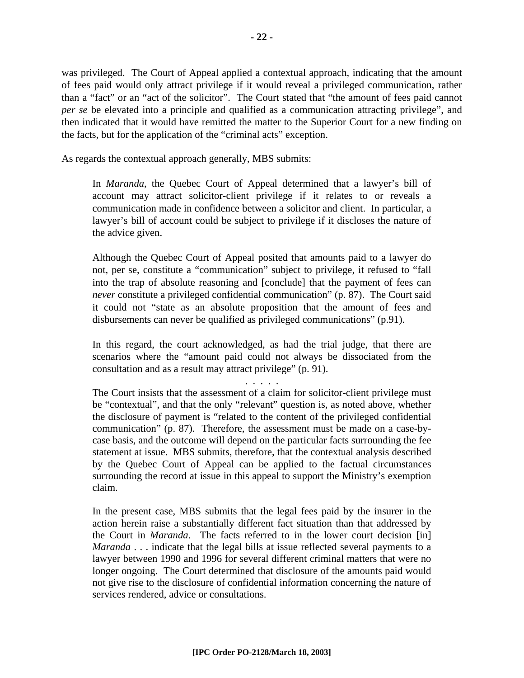was privileged. The Court of Appeal applied a contextual approach, indicating that the amount of fees paid would only attract privilege if it would reveal a privileged communication, rather than a "fact" or an "act of the solicitor". The Court stated that "the amount of fees paid cannot *per se* be elevated into a principle and qualified as a communication attracting privilege", and then indicated that it would have remitted the matter to the Superior Court for a new finding on the facts, but for the application of the "criminal acts" exception.

As regards the contextual approach generally, MBS submits:

In *Maranda*, the Quebec Court of Appeal determined that a lawyer's bill of account may attract solicitor-client privilege if it relates to or reveals a communication made in confidence between a solicitor and client. In particular, a lawyer's bill of account could be subject to privilege if it discloses the nature of the advice given.

Although the Quebec Court of Appeal posited that amounts paid to a lawyer do not, per se, constitute a "communication" subject to privilege, it refused to "fall into the trap of absolute reasoning and [conclude] that the payment of fees can *never* constitute a privileged confidential communication" (p. 87). The Court said it could not "state as an absolute proposition that the amount of fees and disbursements can never be qualified as privileged communications" (p.91).

In this regard, the court acknowledged, as had the trial judge, that there are scenarios where the "amount paid could not always be dissociated from the consultation and as a result may attract privilege" (p. 91).

. . . . .

The Court insists that the assessment of a claim for solicitor-client privilege must be "contextual", and that the only "relevant" question is, as noted above, whether the disclosure of payment is "related to the content of the privileged confidential communication" (p. 87). Therefore, the assessment must be made on a case-bycase basis, and the outcome will depend on the particular facts surrounding the fee statement at issue. MBS submits, therefore, that the contextual analysis described by the Quebec Court of Appeal can be applied to the factual circumstances surrounding the record at issue in this appeal to support the Ministry's exemption claim.

In the present case, MBS submits that the legal fees paid by the insurer in the action herein raise a substantially different fact situation than that addressed by the Court in *Maranda*.The facts referred to in the lower court decision [in] *Maranda* . . . indicate that the legal bills at issue reflected several payments to a lawyer between 1990 and 1996 for several different criminal matters that were no longer ongoing. The Court determined that disclosure of the amounts paid would not give rise to the disclosure of confidential information concerning the nature of services rendered, advice or consultations.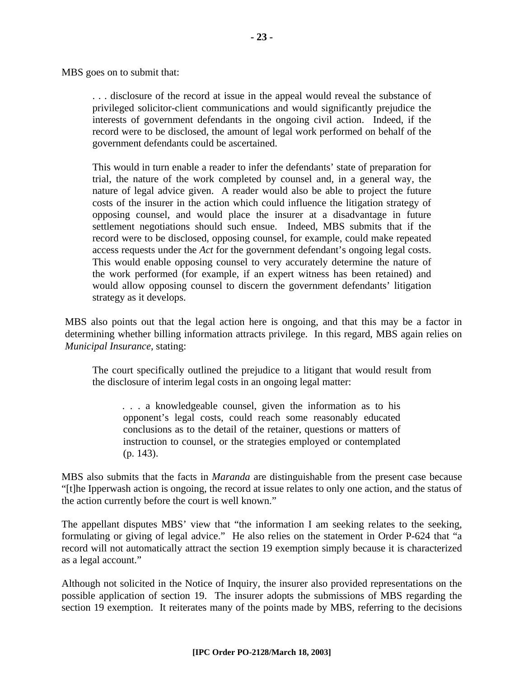MBS goes on to submit that:

. . . disclosure of the record at issue in the appeal would reveal the substance of privileged solicitor-client communications and would significantly prejudice the interests of government defendants in the ongoing civil action. Indeed, if the record were to be disclosed, the amount of legal work performed on behalf of the government defendants could be ascertained.

This would in turn enable a reader to infer the defendants' state of preparation for trial, the nature of the work completed by counsel and, in a general way, the nature of legal advice given. A reader would also be able to project the future costs of the insurer in the action which could influence the litigation strategy of opposing counsel, and would place the insurer at a disadvantage in future settlement negotiations should such ensue. Indeed, MBS submits that if the record were to be disclosed, opposing counsel, for example, could make repeated access requests under the *Act* for the government defendant's ongoing legal costs. This would enable opposing counsel to very accurately determine the nature of the work performed (for example, if an expert witness has been retained) and would allow opposing counsel to discern the government defendants' litigation strategy as it develops.

MBS also points out that the legal action here is ongoing, and that this may be a factor in determining whether billing information attracts privilege. In this regard, MBS again relies on *Municipal Insurance*, stating:

The court specifically outlined the prejudice to a litigant that would result from the disclosure of interim legal costs in an ongoing legal matter:

. . . a knowledgeable counsel, given the information as to his opponent's legal costs, could reach some reasonably educated conclusions as to the detail of the retainer, questions or matters of instruction to counsel, or the strategies employed or contemplated (p. 143).

MBS also submits that the facts in *Maranda* are distinguishable from the present case because "[t]he Ipperwash action is ongoing, the record at issue relates to only one action, and the status of the action currently before the court is well known."

The appellant disputes MBS' view that "the information I am seeking relates to the seeking, formulating or giving of legal advice." He also relies on the statement in Order P-624 that "a record will not automatically attract the section 19 exemption simply because it is characterized as a legal account."

Although not solicited in the Notice of Inquiry, the insurer also provided representations on the possible application of section 19. The insurer adopts the submissions of MBS regarding the section 19 exemption. It reiterates many of the points made by MBS, referring to the decisions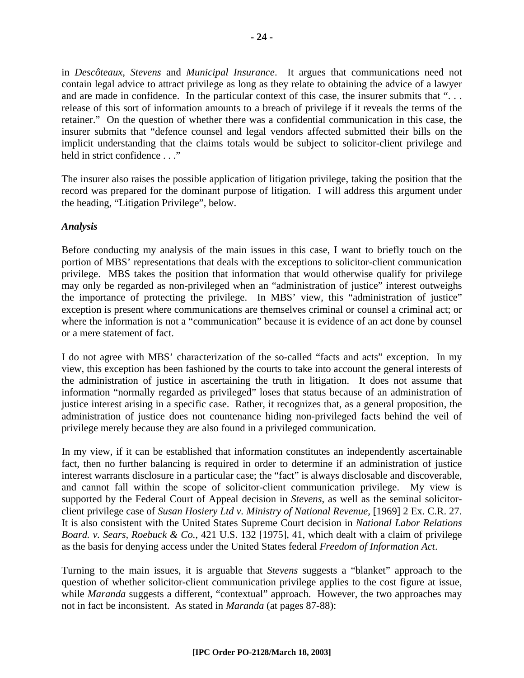in *Descôteaux*, *Stevens* and *Municipal Insurance*. It argues that communications need not contain legal advice to attract privilege as long as they relate to obtaining the advice of a lawyer and are made in confidence. In the particular context of this case, the insurer submits that "... release of this sort of information amounts to a breach of privilege if it reveals the terms of the retainer." On the question of whether there was a confidential communication in this case, the insurer submits that "defence counsel and legal vendors affected submitted their bills on the implicit understanding that the claims totals would be subject to solicitor-client privilege and held in strict confidence . . ."

The insurer also raises the possible application of litigation privilege, taking the position that the record was prepared for the dominant purpose of litigation. I will address this argument under the heading, "Litigation Privilege", below.

#### *Analysis*

Before conducting my analysis of the main issues in this case, I want to briefly touch on the portion of MBS' representations that deals with the exceptions to solicitor-client communication privilege. MBS takes the position that information that would otherwise qualify for privilege may only be regarded as non-privileged when an "administration of justice" interest outweighs the importance of protecting the privilege. In MBS' view, this "administration of justice" exception is present where communications are themselves criminal or counsel a criminal act; or where the information is not a "communication" because it is evidence of an act done by counsel or a mere statement of fact.

I do not agree with MBS' characterization of the so-called "facts and acts" exception. In my view, this exception has been fashioned by the courts to take into account the general interests of the administration of justice in ascertaining the truth in litigation. It does not assume that information "normally regarded as privileged" loses that status because of an administration of justice interest arising in a specific case. Rather, it recognizes that, as a general proposition, the administration of justice does not countenance hiding non-privileged facts behind the veil of privilege merely because they are also found in a privileged communication.

In my view, if it can be established that information constitutes an independently ascertainable fact, then no further balancing is required in order to determine if an administration of justice interest warrants disclosure in a particular case; the "fact" is always disclosable and discoverable, and cannot fall within the scope of solicitor-client communication privilege. My view is supported by the Federal Court of Appeal decision in *Stevens*, as well as the seminal solicitorclient privilege case of *Susan Hosiery Ltd v. Ministry of National Revenue,* [1969] 2 Ex. C.R. 27. It is also consistent with the United States Supreme Court decision in *National Labor Relations Board. v. Sears, Roebuck & Co.*, 421 U.S. 132 [1975], 41, which dealt with a claim of privilege as the basis for denying access under the United States federal *Freedom of Information Act*.

Turning to the main issues, it is arguable that *Stevens* suggests a "blanket" approach to the question of whether solicitor-client communication privilege applies to the cost figure at issue, while *Maranda* suggests a different, "contextual" approach. However, the two approaches may not in fact be inconsistent. As stated in *Maranda* (at pages 87-88):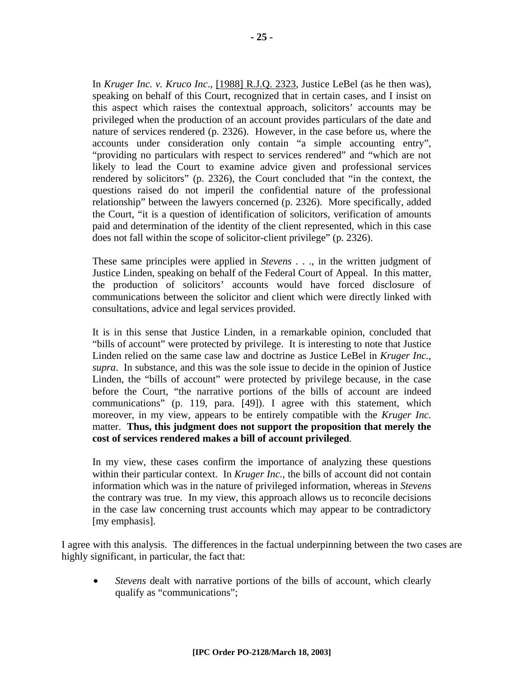In *Kruger Inc. v. Kruco Inc*., [1988] R.J.Q. 2323, Justice LeBel (as he then was), speaking on behalf of this Court, recognized that in certain cases, and I insist on this aspect which raises the contextual approach, solicitors' accounts may be privileged when the production of an account provides particulars of the date and nature of services rendered (p. 2326). However, in the case before us, where the accounts under consideration only contain "a simple accounting entry", "providing no particulars with respect to services rendered" and "which are not likely to lead the Court to examine advice given and professional services rendered by solicitors" (p. 2326), the Court concluded that "in the context, the questions raised do not imperil the confidential nature of the professional relationship" between the lawyers concerned (p. 2326). More specifically, added the Court, "it is a question of identification of solicitors, verification of amounts paid and determination of the identity of the client represented, which in this case does not fall within the scope of solicitor-client privilege" (p. 2326).

These same principles were applied in *Stevens* . . ., in the written judgment of Justice Linden, speaking on behalf of the Federal Court of Appeal. In this matter, the production of solicitors' accounts would have forced disclosure of communications between the solicitor and client which were directly linked with consultations, advice and legal services provided.

It is in this sense that Justice Linden, in a remarkable opinion, concluded that "bills of account" were protected by privilege. It is interesting to note that Justice Linden relied on the same case law and doctrine as Justice LeBel in *Kruger Inc.*, *supra*. In substance, and this was the sole issue to decide in the opinion of Justice Linden, the "bills of account" were protected by privilege because, in the case before the Court, "the narrative portions of the bills of account are indeed communications" (p. 119, para. [49]). I agree with this statement, which moreover, in my view, appears to be entirely compatible with the *Kruger Inc.* matter. **Thus, this judgment does not support the proposition that merely the cost of services rendered makes a bill of account privileged***.* 

In my view, these cases confirm the importance of analyzing these questions within their particular context. In *Kruger Inc.*, the bills of account did not contain information which was in the nature of privileged information, whereas in *Stevens* the contrary was true. In my view, this approach allows us to reconcile decisions in the case law concerning trust accounts which may appear to be contradictory [my emphasis].

I agree with this analysis. The differences in the factual underpinning between the two cases are highly significant, in particular, the fact that:

• *Stevens* dealt with narrative portions of the bills of account, which clearly qualify as "communications";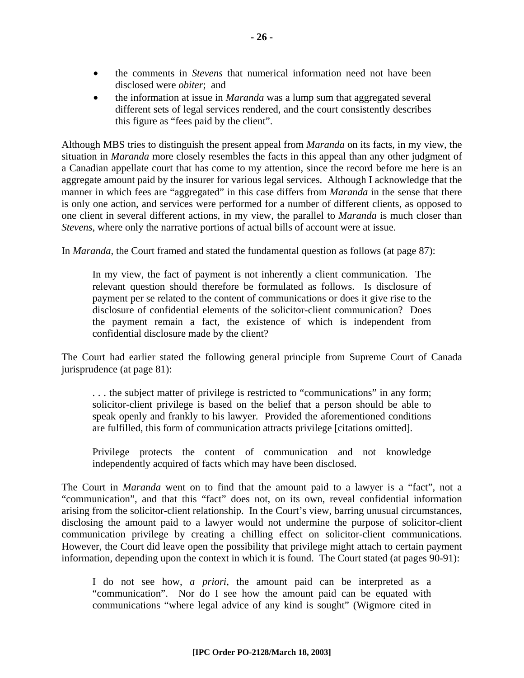- the comments in *Stevens* that numerical information need not have been disclosed were *obiter*; and
- the information at issue in *Maranda* was a lump sum that aggregated several different sets of legal services rendered, and the court consistently describes this figure as "fees paid by the client".

Although MBS tries to distinguish the present appeal from *Maranda* on its facts, in my view, the situation in *Maranda* more closely resembles the facts in this appeal than any other judgment of a Canadian appellate court that has come to my attention, since the record before me here is an aggregate amount paid by the insurer for various legal services. Although I acknowledge that the manner in which fees are "aggregated" in this case differs from *Maranda* in the sense that there is only one action, and services were performed for a number of different clients, as opposed to one client in several different actions, in my view, the parallel to *Maranda* is much closer than *Stevens*, where only the narrative portions of actual bills of account were at issue.

In *Maranda*, the Court framed and stated the fundamental question as follows (at page 87):

In my view, the fact of payment is not inherently a client communication. The relevant question should therefore be formulated as follows. Is disclosure of payment per se related to the content of communications or does it give rise to the disclosure of confidential elements of the solicitor-client communication? Does the payment remain a fact, the existence of which is independent from confidential disclosure made by the client?

The Court had earlier stated the following general principle from Supreme Court of Canada jurisprudence (at page 81):

. . . the subject matter of privilege is restricted to "communications" in any form; solicitor-client privilege is based on the belief that a person should be able to speak openly and frankly to his lawyer. Provided the aforementioned conditions are fulfilled, this form of communication attracts privilege [citations omitted].

Privilege protects the content of communication and not knowledge independently acquired of facts which may have been disclosed.

The Court in *Maranda* went on to find that the amount paid to a lawyer is a "fact", not a "communication", and that this "fact" does not, on its own, reveal confidential information arising from the solicitor-client relationship. In the Court's view, barring unusual circumstances, disclosing the amount paid to a lawyer would not undermine the purpose of solicitor-client communication privilege by creating a chilling effect on solicitor-client communications. However, the Court did leave open the possibility that privilege might attach to certain payment information, depending upon the context in which it is found. The Court stated (at pages 90-91):

I do not see how, *a priori*, the amount paid can be interpreted as a "communication". Nor do I see how the amount paid can be equated with communications "where legal advice of any kind is sought" (Wigmore cited in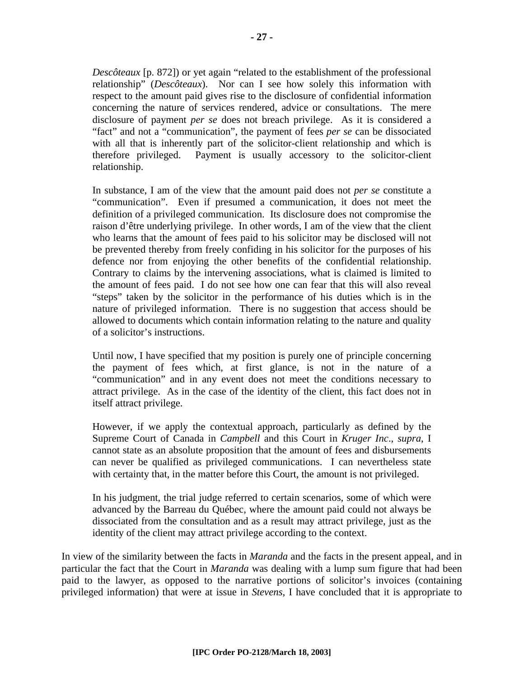*Descôteaux* [p. 872]) or yet again "related to the establishment of the professional relationship" (*Descôteaux*). Nor can I see how solely this information with respect to the amount paid gives rise to the disclosure of confidential information concerning the nature of services rendered, advice or consultations. The mere disclosure of payment *per se* does not breach privilege. As it is considered a "fact" and not a "communication", the payment of fees *per se* can be dissociated with all that is inherently part of the solicitor-client relationship and which is therefore privileged. Payment is usually accessory to the solicitor-client relationship.

In substance, I am of the view that the amount paid does not *per se* constitute a "communication". Even if presumed a communication, it does not meet the definition of a privileged communication. Its disclosure does not compromise the raison d'être underlying privilege. In other words, I am of the view that the client who learns that the amount of fees paid to his solicitor may be disclosed will not be prevented thereby from freely confiding in his solicitor for the purposes of his defence nor from enjoying the other benefits of the confidential relationship. Contrary to claims by the intervening associations, what is claimed is limited to the amount of fees paid. I do not see how one can fear that this will also reveal "steps" taken by the solicitor in the performance of his duties which is in the nature of privileged information. There is no suggestion that access should be allowed to documents which contain information relating to the nature and quality of a solicitor's instructions.

Until now, I have specified that my position is purely one of principle concerning the payment of fees which, at first glance, is not in the nature of a "communication" and in any event does not meet the conditions necessary to attract privilege. As in the case of the identity of the client, this fact does not in itself attract privilege.

However, if we apply the contextual approach, particularly as defined by the Supreme Court of Canada in *Campbell* and this Court in *Kruger Inc*., *supra*, I cannot state as an absolute proposition that the amount of fees and disbursements can never be qualified as privileged communications. I can nevertheless state with certainty that, in the matter before this Court, the amount is not privileged.

In his judgment, the trial judge referred to certain scenarios, some of which were advanced by the Barreau du Québec, where the amount paid could not always be dissociated from the consultation and as a result may attract privilege, just as the identity of the client may attract privilege according to the context.

In view of the similarity between the facts in *Maranda* and the facts in the present appeal, and in particular the fact that the Court in *Maranda* was dealing with a lump sum figure that had been paid to the lawyer, as opposed to the narrative portions of solicitor's invoices (containing privileged information) that were at issue in *Stevens*, I have concluded that it is appropriate to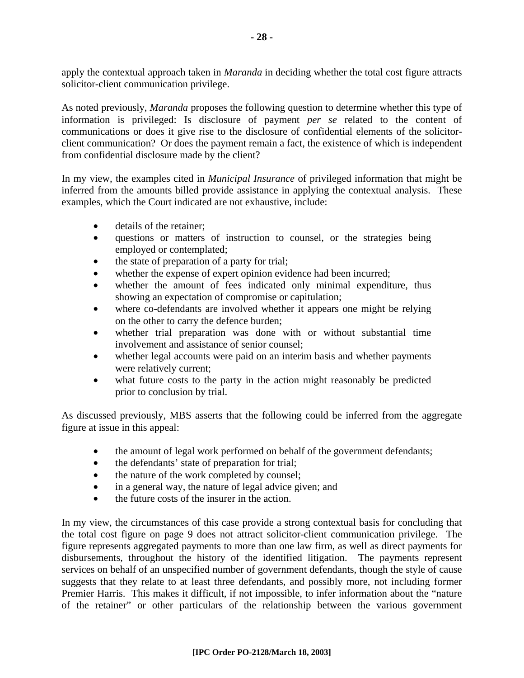apply the contextual approach taken in *Maranda* in deciding whether the total cost figure attracts solicitor-client communication privilege.

As noted previously, *Maranda* proposes the following question to determine whether this type of information is privileged: Is disclosure of payment *per se* related to the content of communications or does it give rise to the disclosure of confidential elements of the solicitorclient communication? Or does the payment remain a fact, the existence of which is independent from confidential disclosure made by the client?

In my view, the examples cited in *Municipal Insurance* of privileged information that might be inferred from the amounts billed provide assistance in applying the contextual analysis. These examples, which the Court indicated are not exhaustive, include:

- details of the retainer:
- questions or matters of instruction to counsel, or the strategies being employed or contemplated;
- the state of preparation of a party for trial;
- whether the expense of expert opinion evidence had been incurred;
- whether the amount of fees indicated only minimal expenditure, thus showing an expectation of compromise or capitulation;
- where co-defendants are involved whether it appears one might be relying on the other to carry the defence burden;
- whether trial preparation was done with or without substantial time involvement and assistance of senior counsel;
- whether legal accounts were paid on an interim basis and whether payments were relatively current;
- what future costs to the party in the action might reasonably be predicted prior to conclusion by trial.

As discussed previously, MBS asserts that the following could be inferred from the aggregate figure at issue in this appeal:

- the amount of legal work performed on behalf of the government defendants;
- the defendants' state of preparation for trial;
- the nature of the work completed by counsel;
- in a general way, the nature of legal advice given; and
- the future costs of the insurer in the action.

In my view, the circumstances of this case provide a strong contextual basis for concluding that the total cost figure on page 9 does not attract solicitor-client communication privilege. The figure represents aggregated payments to more than one law firm, as well as direct payments for disbursements, throughout the history of the identified litigation. The payments represent services on behalf of an unspecified number of government defendants, though the style of cause suggests that they relate to at least three defendants, and possibly more, not including former Premier Harris. This makes it difficult, if not impossible, to infer information about the "nature of the retainer" or other particulars of the relationship between the various government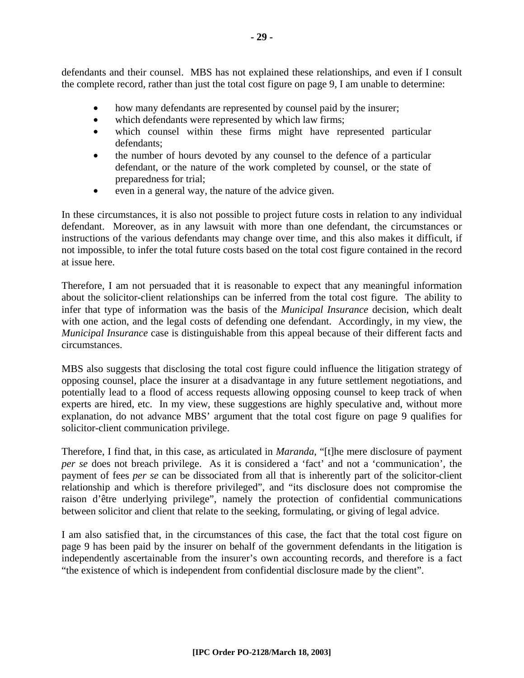defendants and their counsel. MBS has not explained these relationships, and even if I consult the complete record, rather than just the total cost figure on page 9, I am unable to determine:

- how many defendants are represented by counsel paid by the insurer;
- which defendants were represented by which law firms;
- which counsel within these firms might have represented particular defendants;
- the number of hours devoted by any counsel to the defence of a particular defendant, or the nature of the work completed by counsel, or the state of preparedness for trial;
- even in a general way, the nature of the advice given.

In these circumstances, it is also not possible to project future costs in relation to any individual defendant. Moreover, as in any lawsuit with more than one defendant, the circumstances or instructions of the various defendants may change over time, and this also makes it difficult, if not impossible, to infer the total future costs based on the total cost figure contained in the record at issue here.

Therefore, I am not persuaded that it is reasonable to expect that any meaningful information about the solicitor-client relationships can be inferred from the total cost figure. The ability to infer that type of information was the basis of the *Municipal Insurance* decision, which dealt with one action, and the legal costs of defending one defendant. Accordingly, in my view, the *Municipal Insurance* case is distinguishable from this appeal because of their different facts and circumstances.

MBS also suggests that disclosing the total cost figure could influence the litigation strategy of opposing counsel, place the insurer at a disadvantage in any future settlement negotiations, and potentially lead to a flood of access requests allowing opposing counsel to keep track of when experts are hired, etc. In my view, these suggestions are highly speculative and, without more explanation, do not advance MBS' argument that the total cost figure on page 9 qualifies for solicitor-client communication privilege.

Therefore, I find that, in this case, as articulated in *Maranda*, "[t]he mere disclosure of payment *per se* does not breach privilege. As it is considered a 'fact' and not a 'communication', the payment of fees *per se* can be dissociated from all that is inherently part of the solicitor-client relationship and which is therefore privileged", and "its disclosure does not compromise the raison d'être underlying privilege", namely the protection of confidential communications between solicitor and client that relate to the seeking, formulating, or giving of legal advice.

I am also satisfied that, in the circumstances of this case, the fact that the total cost figure on page 9 has been paid by the insurer on behalf of the government defendants in the litigation is independently ascertainable from the insurer's own accounting records, and therefore is a fact "the existence of which is independent from confidential disclosure made by the client".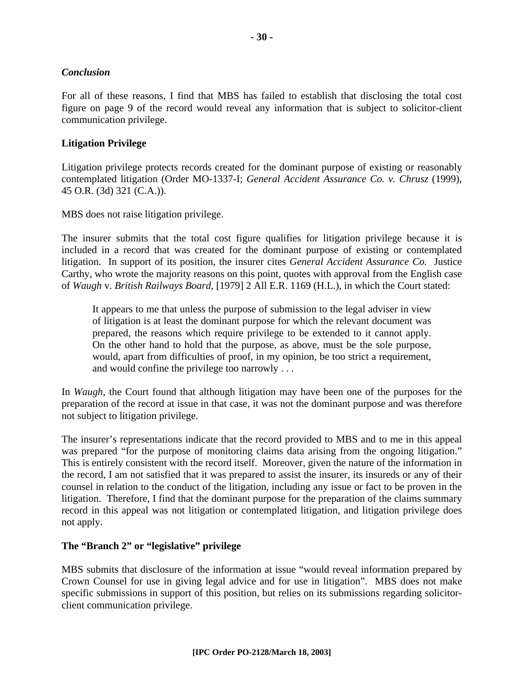#### *Conclusion*

For all of these reasons, I find that MBS has failed to establish that disclosing the total cost figure on page 9 of the record would reveal any information that is subject to solicitor-client communication privilege.

#### **Litigation Privilege**

Litigation privilege protects records created for the dominant purpose of existing or reasonably contemplated litigation (Order MO-1337-I; *General Accident Assurance Co. v. Chrusz* (1999), 45 O.R. (3d) 321 (C.A.)).

MBS does not raise litigation privilege.

The insurer submits that the total cost figure qualifies for litigation privilege because it is included in a record that was created for the dominant purpose of existing or contemplated litigation. In support of its position, the insurer cites *General Accident Assurance Co.* Justice Carthy, who wrote the majority reasons on this point, quotes with approval from the English case of *Waugh* v. *British Railways Board*, [1979] 2 All E.R. 1169 (H.L.), in which the Court stated:

It appears to me that unless the purpose of submission to the legal adviser in view of litigation is at least the dominant purpose for which the relevant document was prepared, the reasons which require privilege to be extended to it cannot apply. On the other hand to hold that the purpose, as above, must be the sole purpose, would, apart from difficulties of proof, in my opinion, be too strict a requirement, and would confine the privilege too narrowly . . .

In *Waugh*, the Court found that although litigation may have been one of the purposes for the preparation of the record at issue in that case, it was not the dominant purpose and was therefore not subject to litigation privilege.

The insurer's representations indicate that the record provided to MBS and to me in this appeal was prepared "for the purpose of monitoring claims data arising from the ongoing litigation." This is entirely consistent with the record itself. Moreover, given the nature of the information in the record, I am not satisfied that it was prepared to assist the insurer, its insureds or any of their counsel in relation to the conduct of the litigation, including any issue or fact to be proven in the litigation. Therefore, I find that the dominant purpose for the preparation of the claims summary record in this appeal was not litigation or contemplated litigation, and litigation privilege does not apply.

#### **The "Branch 2" or "legislative" privilege**

MBS submits that disclosure of the information at issue "would reveal information prepared by Crown Counsel for use in giving legal advice and for use in litigation". MBS does not make specific submissions in support of this position, but relies on its submissions regarding solicitorclient communication privilege.